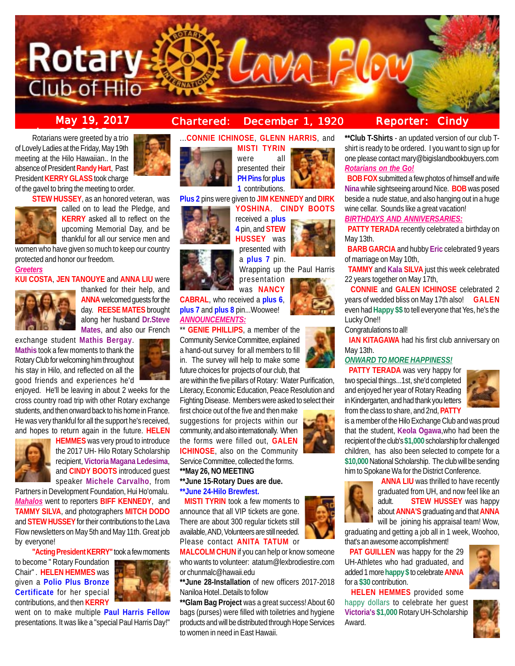

**STEW HUSSEY**, as an honored veteran, was

women who have given so much to keep our country

**KUI COSTA**, **JEN TANOUYE** and **ANNA LIU** were

enjoyed. He'll be leaving in about 2 weeks for the cross country road trip with other Rotary exchange students, and then onward back to his home in France. He was very thankful for all the support he's received, and hopes to return again in the future. **HELEN**

Partners in Development Foundation, Hui Ho'omalu. *Mahalos* went to reporters **BIFF KENNEDY**, and **TAMMY SILVA**, and photographers **MITCH DODO** and **STEW HUSSEY** for their contributions to the Lava Flow newsletters on May 5th and May 11th. Great job

**"Acting President KERRY"** took a few moments

went on to make multiple **Paul Harris Fellow** presentations. It was like a "special Paul Harris Day!"

**HEMMES** was very proud to introduce the 2017 UH- Hilo Rotary Scholarship recipient, **Victoria Magana Ledesima**, and **CINDY BOOTS** introduced guest speaker **Michele Carvalho**, from

called on to lead the Pledge, and **KERRY** asked all to reflect on the upcoming Memorial Day, and be thankful for all our service men and

> thanked for their help, and **ANNA** welcomed guests for the day. **REESE MATES** brought along her husband **Dr.Steve Mates**, and also our French

**May 19, 2017 Chartered: December 1, 1920**

**Rotarians were greeted by a trio** of Lovely Ladies at the Friday, May 19th meeting at the Hilo Hawaiian.. In the absence of President **Randy Hart**, Past President **KERRY GLASS** took charge of the gavel to bring the meeting to order.

protected and honor our freedom.

exchange student **Mathis Bergay**. **Mathis** took a few moments to thank the Rotary Club for welcoming him throughout his stay in Hilo, and reflected on all the good friends and experiences he'd

*Greeters*

by everyone!

to become " Rotary Foundation Chair" . **HELEN HEMMES** was given a **Polio Plus Bronze Certificate** for her special contributions, and then **KERRY**



...**CONNIE ICHINOSE**, **GLENN HARRIS**, and

**MISTI TYRIN** were all presented their **PH Pins** for **plus 1** contributions.

**Plus 2** pins were given to **JIM KENNEDY** and **DIRK**



received a **plus 4** pin, and **STEW HUSSEY** was presented with a **plus 7** pin.

**YOSHINA**. **CINDY BOOTS**

Wrapping up the Paul Harris presentation was **NANCY**

**CABRAL**, who received a **plus 6**, **plus 7** and **plus 8** pin...Woowee! *ANNOUNCEMENTS:*

\*\* **GENIE PHILLIPS**, a member of the Community Service Committee, explained a hand-out survey for all members to fill in. The survey will help to make some future choices for projects of our club, that

are within the five pillars of Rotary: Water Purification, Literacy, Economic Education, Peace Resolution and Fighting Disease. Members were asked to select their

first choice out of the five and then make suggestions for projects within our community, and also internationally. When the forms were filled out, **GALEN ICHINOSE**, also on the Community Service Committee, collected the forms.

**\*\*May 26, NO MEETING**

- **\*\*June 15-Rotary Dues are due.**
- **\*\*June 24-Hilo Brewfest.**

**MISTI TYRIN** took a few moments to announce that all VIP tickets are gone. There are about 300 regular tickets still available, AND, Volunteers are still needed. Please contact **ANITA TATUM** or

**MALCOLM CHUN** if you can help or know someone who wants to volunteer: atatum@lexbrodiestire.com or chunmalc@hawaii.edu

Naniloa Hotel..Details to follow

**\*\*Glam Bag Project** was a great success! About 60 bags (purses) were filled with toiletries and hygiene products and will be distributed through Hope Services to women in need in East Hawaii.



**\*\*Club T-Shirts** - an updated version of our club Tshirt is ready to be ordered. I you want to sign up for one please contact mary@bigislandbookbuyers.com *Rotarians on the Go!*

 **BOB FOX** submitted a few photos of himself and wife **Nina** while sightseeing around Nice. **BOB** was posed beside a nude statue, and also hanging out in a huge wine cellar. Sounds like a great vacation!

### *BIRTHDAYS AND ANNIVERSARIES:*

**PATTY TERADA** recently celebrated a birthday on May 13th.

 **BARB GARCIA** and hubby **Eric** celebrated 9 years of marriage on May 10th,

 **TAMMY** and **Kala SILVA** just this week celebrated 22 years together on May 17th,

 **CONNIE** and **GALEN ICHINOSE** celebrated 2 years of wedded bliss on May 17th also! **GALEN** even had **Happy \$\$** to tell everyone that Yes, he's the Lucky One!!

Congratulations to all!

**IAN KITAGAWA** had his first club anniversary on May 13th.

# *ONWARD TO MORE HAPPINESS!*

**PATTY TERADA** was very happy for two special things...1st, she'd completed and enjoyed her year of Rotary Reading in Kindergarten, and had thank you letters from the class to share, and 2nd, **PATTY**



is a member of the Hilo Exchange Club and was proud that the student, **Keola Ogawa**,who had been the recipient of the club's **\$1,000** scholarship for challenged children, has also been selected to compete for a **\$10,000** National Scholarship. The club will be sending him to Spokane Wa for the District Conference.



graduating and getting a job all in 1 week, Woohoo, that's an awesome accomplishment!

**PAT GUILLEN** was happy for the 29 UH-Athletes who had graduated, and added 1 more **happy \$** to celebrate **ANNA** for a **\$30** contribution.

 **HELEN HEMMES** provided some happy dollars to celebrate her guest **Victoria's \$1,000** Rotary UH-Scholarship Award.





- 
- 

**\*\*June 28-Installation** of new officers 2017-2018